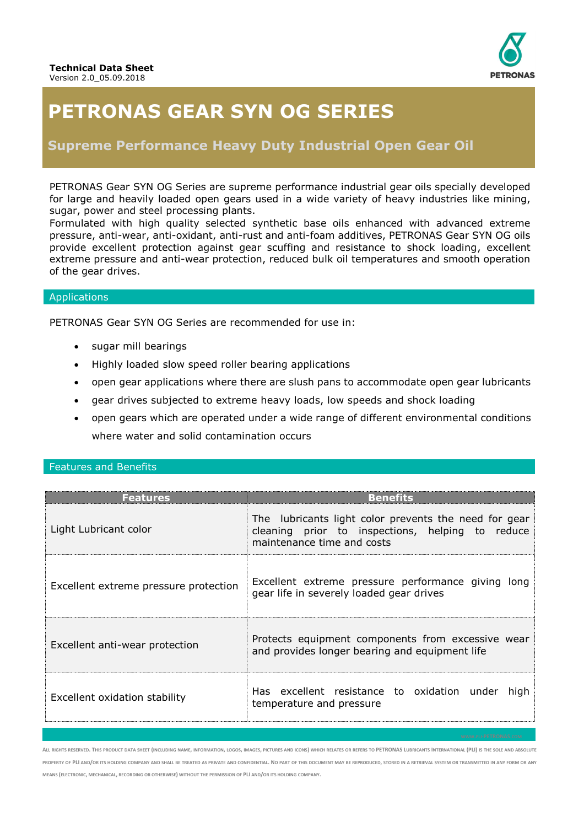

# **PETRONAS GEAR SYN OG SERIES**

## **Supreme Performance Heavy Duty Industrial Open Gear Oil**

PETRONAS Gear SYN OG Series are supreme performance industrial gear oils specially developed for large and heavily loaded open gears used in a wide variety of heavy industries like mining, sugar, power and steel processing plants.

Formulated with high quality selected synthetic base oils enhanced with advanced extreme pressure, anti-wear, anti-oxidant, anti-rust and anti-foam additives, PETRONAS Gear SYN OG oils provide excellent protection against gear scuffing and resistance to shock loading, excellent extreme pressure and anti-wear protection, reduced bulk oil temperatures and smooth operation of the gear drives.

#### Applications

PETRONAS Gear SYN OG Series are recommended for use in:

- sugar mill bearings
- Highly loaded slow speed roller bearing applications
- open gear applications where there are slush pans to accommodate open gear lubricants
- gear drives subjected to extreme heavy loads, low speeds and shock loading
- open gears which are operated under a wide range of different environmental conditions where water and solid contamination occurs

### Features and Benefits

| <b>Features</b>                       | <b>Benefits</b>                                                                                                                         |  |  |  |  |  |  |
|---------------------------------------|-----------------------------------------------------------------------------------------------------------------------------------------|--|--|--|--|--|--|
| Light Lubricant color                 | The lubricants light color prevents the need for gear<br>cleaning prior to inspections, helping to reduce<br>maintenance time and costs |  |  |  |  |  |  |
| Excellent extreme pressure protection | Excellent extreme pressure performance giving long<br>gear life in severely loaded gear drives                                          |  |  |  |  |  |  |
| Excellent anti-wear protection        | Protects equipment components from excessive wear<br>and provides longer bearing and equipment life                                     |  |  |  |  |  |  |
| Excellent oxidation stability         | Has excellent resistance to oxidation under<br>hiah<br>temperature and pressure                                                         |  |  |  |  |  |  |

ALL RIGHTS RESERVED. THIS PRODUCT DATA SHEET (INCLUDING NAME, INFORMATION, LOGOS, IMAGES, PICTURES AND ICONS) WHICH RELATES OR REFERS TO PETRONAS LUBRICANTS INTERNATIONAL (PLI) IS THE SOLE AND ABSOLUTE PROPERTY OF PLI AND/OR ITS HOLDING COMPANY AND SHALL BE TREATED AS PRIVATE AND CONFIDENTIAL. NO PART OF THIS DOCUMENT MAY BE REPRODUCED, STORED IN A RETRIEVAL SYSTEM OR TRANSMITTED IN ANY FORM OR ANY **MEANS (ELECTRONIC, MECHANICAL, RECORDING OR OTHERWISE) WITHOUT THE PERMISSION OF PLI AND/OR ITS HOLDING COMPANY.**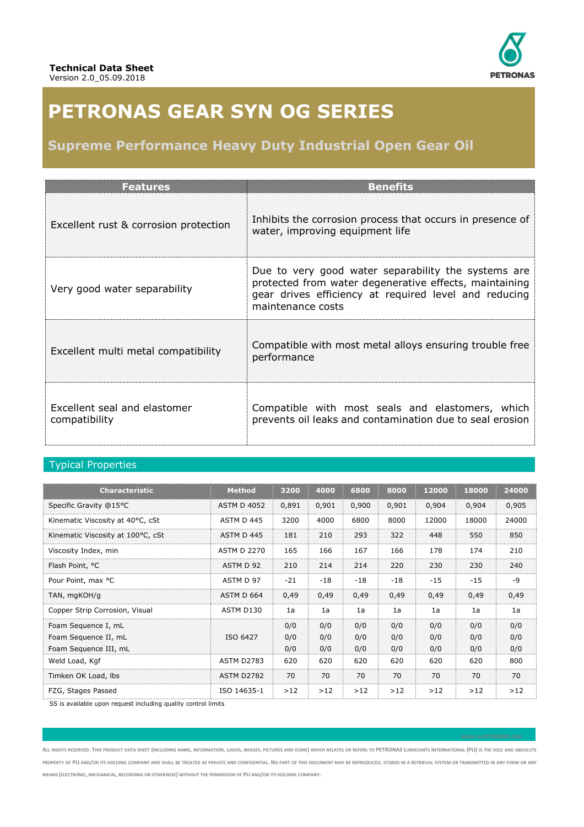

# **PETRONAS GEAR SYN OG SERIES**

## **Supreme Performance Heavy Duty Industrial Open Gear Oil**

| <b>Features</b>                               | <b>Benefits</b>                                                                                                                                                                             |
|-----------------------------------------------|---------------------------------------------------------------------------------------------------------------------------------------------------------------------------------------------|
| Excellent rust & corrosion protection         | Inhibits the corrosion process that occurs in presence of<br>water, improving equipment life                                                                                                |
| Very good water separability                  | Due to very good water separability the systems are<br>protected from water degenerative effects, maintaining<br>gear drives efficiency at required level and reducing<br>maintenance costs |
| Excellent multi metal compatibility           | Compatible with most metal alloys ensuring trouble free<br>performance                                                                                                                      |
| Excellent seal and elastomer<br>compatibility | Compatible with most seals and elastomers, which<br>prevents oil leaks and contamination due to seal erosion                                                                                |

## Typical Properties

| <b>Characteristic</b>             | <b>Method</b>      | 3200  | 4000  | 6800  | 8000  | 12000 | 18000 | 24000 |
|-----------------------------------|--------------------|-------|-------|-------|-------|-------|-------|-------|
| Specific Gravity @15°C            | <b>ASTM D 4052</b> | 0,891 | 0,901 | 0,900 | 0,901 | 0,904 | 0,904 | 0,905 |
| Kinematic Viscosity at 40°C, cSt  | ASTM D 445         | 3200  | 4000  | 6800  | 8000  | 12000 | 18000 | 24000 |
| Kinematic Viscosity at 100°C, cSt | ASTM D 445         | 181   | 210   | 293   | 322   | 448   | 550   | 850   |
| Viscosity Index, min              | <b>ASTM D 2270</b> | 165   | 166   | 167   | 166   | 178   | 174   | 210   |
| Flash Point, °C                   | ASTM D 92          | 210   | 214   | 214   | 220   | 230   | 230   | 240   |
| Pour Point, max °C                | ASTM D 97          | $-21$ | $-18$ | $-18$ | $-18$ | $-15$ | $-15$ | -9    |
| TAN, mgKOH/g                      | ASTM D 664         | 0,49  | 0,49  | 0,49  | 0,49  | 0,49  | 0,49  | 0,49  |
| Copper Strip Corrosion, Visual    | ASTM D130          | 1a    | 1a    | 1a    | 1a    | 1a    | 1a    | 1a    |
| Foam Sequence I, mL               |                    | 0/0   | 0/0   | 0/0   | 0/0   | 0/0   | 0/0   | 0/0   |
| Foam Sequence II, mL              | ISO 6427           | 0/0   | 0/0   | 0/0   | 0/0   | 0/0   | 0/0   | 0/0   |
| Foam Sequence III, mL             |                    | 0/0   | 0/0   | 0/0   | 0/0   | 0/0   | 0/0   | 0/0   |
| Weld Load, Kgf                    | <b>ASTM D2783</b>  | 620   | 620   | 620   | 620   | 620   | 620   | 800   |
| Timken OK Load, Ibs               | <b>ASTM D2782</b>  | 70    | 70    | 70    | 70    | 70    | 70    | 70    |
| FZG, Stages Passed                | ISO 14635-1        | >12   | >12   | >12   | >12   | >12   | >12   | >12   |

SS is available upon request including quality control limits

ALL RIGHTS RESERVED. THIS PRODUCT DATA SHEET (INCLUDING NAME, INFORMATION, LOGOS, IMAGES, PICTURES AND ICONS) WHICH RELATES OR REFERS TO PETRONAS LUBRICANTS INTERNATIONAL (PLI) IS THE SOLE AND ABSOLUTE PROPERTY OF PLI AND/OR ITS HOLDING COMPANY AND SHALL BE TREATED AS PRIVATE AND CONFIDENTIAL. NO PART OF THIS DOCUMENT MAY BE REPRODUCED, STORED IN A RETRIEVAL SYSTEM OR TRANSMITTED IN ANY FORM OR ANY **MEANS (ELECTRONIC, MECHANICAL, RECORDING OR OTHERWISE) WITHOUT THE PERMISSION OF PLI AND/OR ITS HOLDING COMPANY.**